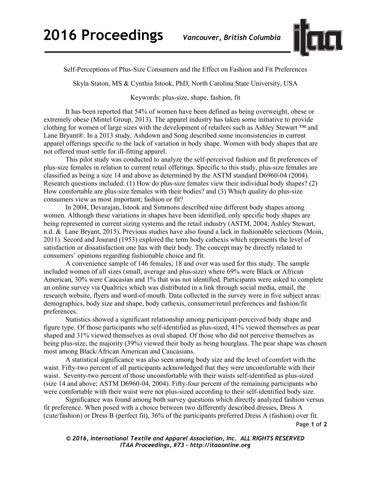

Self-Perceptions of Plus-Size Consumers and the Effect on Fashion and Fit Preferences

Skyla Staton, MS & Cynthia Istook, PhD, North Carolina State University, USA

## Keywords: plus-size, shape, fashion, fit

It has been reported that 54% of women have been defined as being overweight, obese or extremely obese (Mintel Group, 2013). The apparel industry has taken some initiative to provide clothing for women of large sizes with the development of retailers such as Ashley Stewart ™ and Lane Bryant®. In a 2013 study, Ashdown and Song described some inconsistencies in current apparel offerings specific to the lack of variation in body shape. Women with body shapes that are not offered must settle for ill-fitting apparel.

This pilot study was conducted to analyze the self-perceived fashion and fit preferences of plus-size females in relation to current retail offerings. Specific to this study, plus-size females are classified as being a size 14 and above as determined by the ASTM standard D6960-04 (2004). Research questions included: (1) How do plus-size females view their individual body shapes? (2) How comfortable are plus-size females with their bodies? and (3) Which quality do plus-size consumers view as most important; fashion or fit?

In 2004, Devarajan, Istook and Simmons described nine different body shapes among women. Although these variations in shapes have been identified, only specific body shapes are being represented in current sizing systems and the retail industry (ASTM, 2004; Ashley Stewart, n.d. & Lane Bryant, 2015). Previous studies have also found a lack in fashionable selections (Moin, 2011). Secord and Jourard (1953) explored the term body cathexis which represents the level of satisfaction or dissatisfaction one has with their body. The concept may be directly related to consumers' opinions regarding fashionable choice and fit.

A convenience sample of 146 females, 18 and over was used for this study. The sample included women of all sizes (small, average and plus-size) where 69% were Black or African American, 30% were Caucasian and 1% that was not identified. Participants were asked to complete an online survey via Qualtrics which was distributed in a link through social media, email, the research website, flyers and word-of-mouth. Data collected in the survey were in five subject areas: demographics, body size and shape, body cathexis, consumer/retail preferences and fashion/fit preferences.

Statistics showed a significant relationship among participant-perceived body shape and figure type. Of those participants who self-identified as plus-sized, 41% viewed themselves as pear shaped and 31% viewed themselves as oval shaped. Of those who did not perceive themselves as being plus-size, the majority (39%) viewed their body as being hourglass. The pear shape was chosen most among Black/African American and Caucasians.

A statistical significance was also seen among body size and the level of comfort with the waist. Fifty-two percent of all participants acknowledged that they were uncomfortable with their waist. Seventy-two percent of those uncomfortable with their waists self-identified as plus-sized (size 14 and above; ASTM D6960-04, 2004). Fifty-four percent of the remaining participants who were comfortable with their waist were not plus-sized according to their self-identified body size.

Significance was found among both survey questions which directly analyzed fashion versus fit preference. When posed with a choice between two differently described dresses, Dress A (cute/fashion) or Dress B (perfect fit), 36% of the participants preferred Dress A (fashion) over fit.

Page **1** of **2** 

*© 2016, International Textile and Apparel Association, Inc. ALL RIGHTS RESERVED ITAA Proceedings, #73 – http://itaaonline.org*